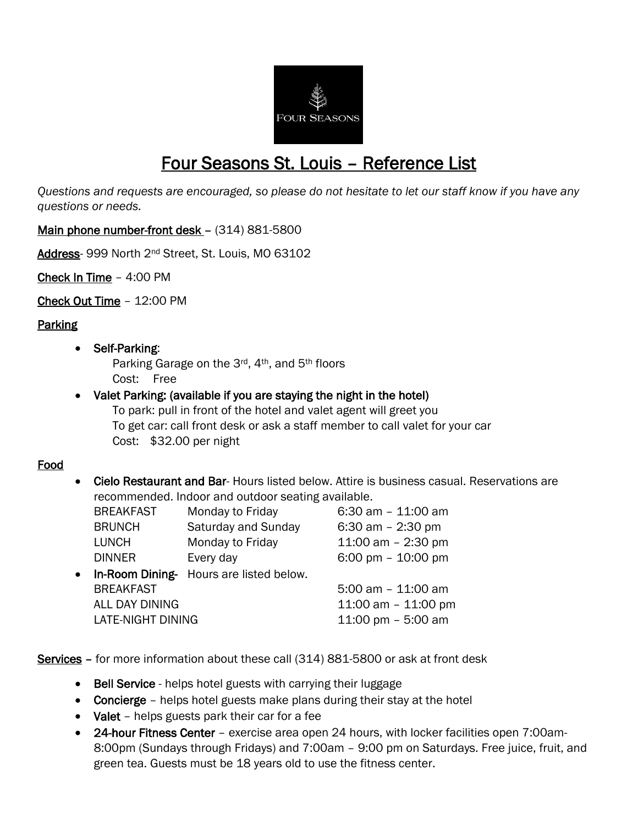

# Four Seasons St. Louis – Reference List

*Questions and requests are encouraged, so please do not hesitate to let our staff know if you have any questions or needs.* 

Main phone number-front desk - (314) 881-5800

Address- 999 North 2nd Street, St. Louis, MO 63102

Check In Time – 4:00 PM

Check Out Time – 12:00 PM

Parking

#### • Self-Parking:

Parking Garage on the 3rd, 4th, and 5th floors Cost: Free

## Valet Parking: (available if you are staying the night in the hotel) To park: pull in front of the hotel and valet agent will greet you

To get car: call front desk or ask a staff member to call valet for your car Cost: \$32.00 per night

## Food

 Cielo Restaurant and Bar- Hours listed below. Attire is business casual. Reservations are recommended. Indoor and outdoor seating available.

|           | <b>BREAKFAST</b>  | Monday to Friday                        | $6:30$ am $-11:00$ am |
|-----------|-------------------|-----------------------------------------|-----------------------|
|           | <b>BRUNCH</b>     | Saturday and Sunday                     | 6:30 am $-$ 2:30 pm   |
|           | <b>LUNCH</b>      | Monday to Friday                        | 11:00 am $-$ 2:30 pm  |
|           | <b>DINNER</b>     | Every day                               | 6:00 pm $- 10:00$ pm  |
| $\bullet$ |                   | In-Room Dining- Hours are listed below. |                       |
|           | <b>BREAKFAST</b>  |                                         | 5:00 am $-$ 11:00 am  |
|           | ALL DAY DINING    |                                         | 11:00 am $-$ 11:00 pm |
|           | LATE-NIGHT DINING |                                         | 11:00 pm $-$ 5:00 am  |

Services – for more information about these call (314) 881-5800 or ask at front desk

- Bell Service helps hotel guests with carrying their luggage
- Concierge helps hotel guests make plans during their stay at the hotel
- Valet helps guests park their car for a fee
- 24-hour Fitness Center exercise area open 24 hours, with locker facilities open 7:00am-8:00pm (Sundays through Fridays) and 7:00am – 9:00 pm on Saturdays. Free juice, fruit, and green tea. Guests must be 18 years old to use the fitness center.